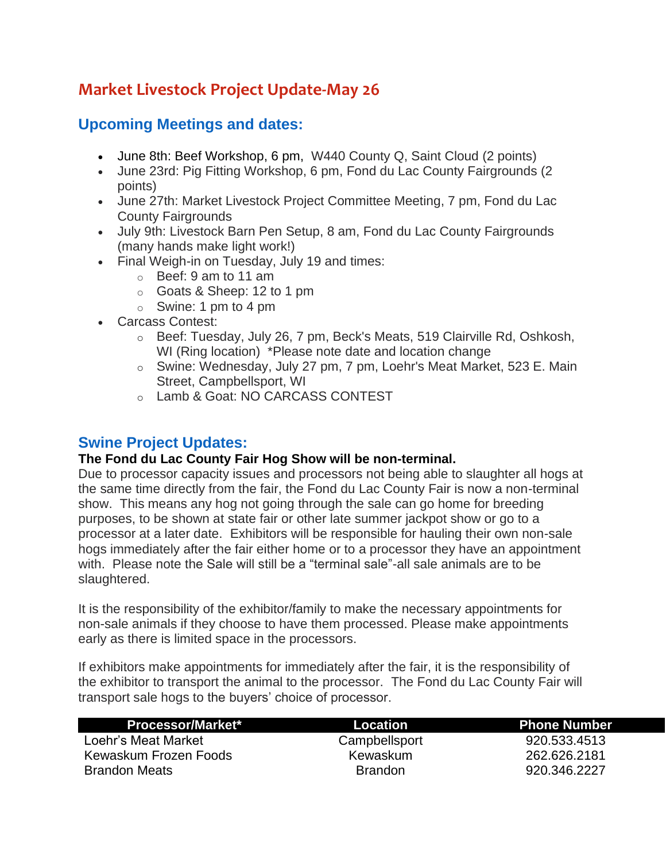# **Market Livestock Project Update-May 26**

## **Upcoming Meetings and dates:**

- June 8th: Beef Workshop, 6 pm, W440 County Q, Saint Cloud (2 points)
- June 23rd: Pig Fitting Workshop, 6 pm, Fond du Lac County Fairgrounds (2 points)
- June 27th: Market Livestock Project Committee Meeting, 7 pm, Fond du Lac County Fairgrounds
- July 9th: Livestock Barn Pen Setup, 8 am, Fond du Lac County Fairgrounds (many hands make light work!)
- Final Weigh-in on Tuesday, July 19 and times:
	- o Beef: 9 am to 11 am
	- o Goats & Sheep: 12 to 1 pm
	- $\circ$  Swine: 1 pm to 4 pm
- Carcass Contest:
	- o Beef: Tuesday, July 26, 7 pm, Beck's Meats, 519 Clairville Rd, Oshkosh, WI (Ring location) \*Please note date and location change
	- o Swine: Wednesday, July 27 pm, 7 pm, Loehr's Meat Market, 523 E. Main Street, Campbellsport, WI
	- o Lamb & Goat: NO CARCASS CONTEST

### **Swine Project Updates:**

#### **The Fond du Lac County Fair Hog Show will be non-terminal.**

Due to processor capacity issues and processors not being able to slaughter all hogs at the same time directly from the fair, the Fond du Lac County Fair is now a non-terminal show. This means any hog not going through the sale can go home for breeding purposes, to be shown at state fair or other late summer jackpot show or go to a processor at a later date. Exhibitors will be responsible for hauling their own non-sale hogs immediately after the fair either home or to a processor they have an appointment with. Please note the Sale will still be a "terminal sale"-all sale animals are to be slaughtered.

It is the responsibility of the exhibitor/family to make the necessary appointments for non-sale animals if they choose to have them processed. Please make appointments early as there is limited space in the processors.

If exhibitors make appointments for immediately after the fair, it is the responsibility of the exhibitor to transport the animal to the processor. The Fond du Lac County Fair will transport sale hogs to the buyers' choice of processor.

| <b>Processor/Market*</b> | Location       | <b>Phone Number</b> |
|--------------------------|----------------|---------------------|
| Loehr's Meat Market      | Campbellsport  | 920.533.4513        |
| Kewaskum Frozen Foods    | Kewaskum       | 262.626.2181        |
| <b>Brandon Meats</b>     | <b>Brandon</b> | 920.346.2227        |